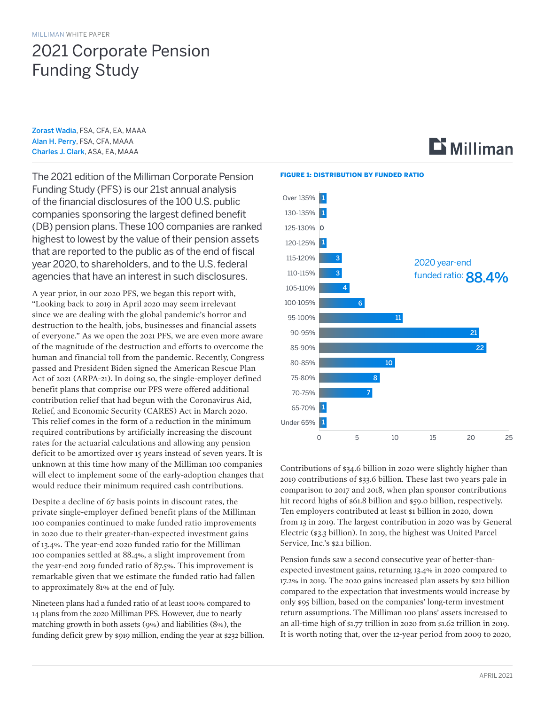# 2021 Corporate Pension Funding Study

[Zorast Wadia](mailto:zorast.wadia%40millian.com?subject=), FSA, CFA, EA, MAAA [Alan H. Perry](mailto:alan.perry%40milliman.com?subject=), FSA, CFA, MAAA [Charles J. Clark](mailto:charles.clark%40milliman.com?subject=), ASA, EA, MAAA

The 2021 edition of the Milliman Corporate Pension Funding Study (PFS) is our 21st annual analysis of the financial disclosures of the 100 U.S. public companies sponsoring the largest defined benefit (DB) pension plans. These 100 companies are ranked highest to lowest by the value of their pension assets that are reported to the public as of the end of fiscal year 2020, to shareholders, and to the U.S. federal agencies that have an interest in such disclosures.

A year prior, in our 2020 PFS, we began this report with, "Looking back to 2019 in April 2020 may seem irrelevant since we are dealing with the global pandemic's horror and destruction to the health, jobs, businesses and financial assets of everyone." As we open the 2021 PFS, we are even more aware of the magnitude of the destruction and efforts to overcome the human and financial toll from the pandemic. Recently, Congress passed and President Biden signed the American Rescue Plan Act of 2021 (ARPA-21). In doing so, the single-employer defined benefit plans that comprise our PFS were offered additional contribution relief that had begun with the Coronavirus Aid, Relief, and Economic Security (CARES) Act in March 2020. This relief comes in the form of a reduction in the minimum required contributions by artificially increasing the discount rates for the actuarial calculations and allowing any pension deficit to be amortized over 15 years instead of seven years. It is unknown at this time how many of the Milliman 100 companies will elect to implement some of the early-adoption changes that would reduce their minimum required cash contributions.

Despite a decline of 67 basis points in discount rates, the private single-employer defined benefit plans of the Milliman 100 companies continued to make funded ratio improvements in 2020 due to their greater-than-expected investment gains of 13.4%. The year-end 2020 funded ratio for the Milliman 100 companies settled at 88.4%, a slight improvement from the year-end 2019 funded ratio of 87.5%. This improvement is remarkable given that we estimate the funded ratio had fallen to approximately 81% at the end of July.

Nineteen plans had a funded ratio of at least 100% compared to 14 plans from the 2020 Milliman PFS. However, due to nearly matching growth in both assets (9%) and liabilities (8%), the funding deficit grew by \$919 million, ending the year at \$232 billion.

#### FIGURE 1: DISTRIBUTION BY FUNDED RATIO



 **Milliman** 

Contributions of \$34.6 billion in 2020 were slightly higher than 2019 contributions of \$33.6 billion. These last two years pale in comparison to 2017 and 2018, when plan sponsor contributions hit record highs of \$61.8 billion and \$59.0 billion, respectively. Ten employers contributed at least \$1 billion in 2020, down from 13 in 2019. The largest contribution in 2020 was by General Electric (\$3.3 billion). In 2019, the highest was United Parcel Service, Inc.'s \$2.1 billion.

Pension funds saw a second consecutive year of better-thanexpected investment gains, returning 13.4% in 2020 compared to 17.2% in 2019. The 2020 gains increased plan assets by \$212 billion compared to the expectation that investments would increase by only \$95 billion, based on the companies' long-term investment return assumptions. The Milliman 100 plans' assets increased to an all-time high of \$1.77 trillion in 2020 from \$1.62 trillion in 2019. It is worth noting that, over the 12-year period from 2009 to 2020,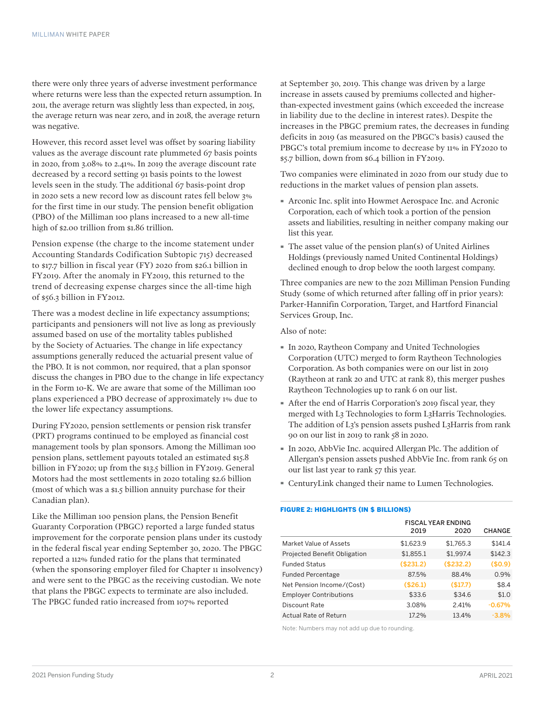there were only three years of adverse investment performance where returns were less than the expected return assumption. In 2011, the average return was slightly less than expected, in 2015, the average return was near zero, and in 2018, the average return was negative.

However, this record asset level was offset by soaring liability values as the average discount rate plummeted 67 basis points in 2020, from 3.08% to 2.41%. In 2019 the average discount rate decreased by a record setting 91 basis points to the lowest levels seen in the study. The additional 67 basis-point drop in 2020 sets a new record low as discount rates fell below 3% for the first time in our study. The pension benefit obligation (PBO) of the Milliman 100 plans increased to a new all-time high of \$2.00 trillion from \$1.86 trillion.

Pension expense (the charge to the income statement under Accounting Standards Codification Subtopic 715) decreased to \$17.7 billion in fiscal year (FY) 2020 from \$26.1 billion in FY2019. After the anomaly in FY2019, this returned to the trend of decreasing expense charges since the all-time high of \$56.3 billion in FY2012.

There was a modest decline in life expectancy assumptions; participants and pensioners will not live as long as previously assumed based on use of the mortality tables published by the Society of Actuaries. The change in life expectancy assumptions generally reduced the actuarial present value of the PBO. It is not common, nor required, that a plan sponsor discuss the changes in PBO due to the change in life expectancy in the Form 10-K. We are aware that some of the Milliman 100 plans experienced a PBO decrease of approximately 1% due to the lower life expectancy assumptions.

During FY2020, pension settlements or pension risk transfer (PRT) programs continued to be employed as financial cost management tools by plan sponsors. Among the Milliman 100 pension plans, settlement payouts totaled an estimated \$15.8 billion in FY2020; up from the \$13.5 billion in FY2019. General Motors had the most settlements in 2020 totaling \$2.6 billion (most of which was a \$1.5 billion annuity purchase for their Canadian plan).

Like the Milliman 100 pension plans, the Pension Benefit Guaranty Corporation (PBGC) reported a large funded status improvement for the corporate pension plans under its custody in the federal fiscal year ending September 30, 2020. The PBGC reported a 112% funded ratio for the plans that terminated (when the sponsoring employer filed for Chapter 11 insolvency) and were sent to the PBGC as the receiving custodian. We note that plans the PBGC expects to terminate are also included. The PBGC funded ratio increased from 107% reported

at September 30, 2019. This change was driven by a large increase in assets caused by premiums collected and higherthan-expected investment gains (which exceeded the increase in liability due to the decline in interest rates). Despite the increases in the PBGC premium rates, the decreases in funding deficits in 2019 (as measured on the PBGC's basis) caused the PBGC's total premium income to decrease by 11% in FY2020 to \$5.7 billion, down from \$6.4 billion in FY2019.

Two companies were eliminated in 2020 from our study due to reductions in the market values of pension plan assets.

- · Arconic Inc. split into Howmet Aerospace Inc. and Acronic Corporation, each of which took a portion of the pension assets and liabilities, resulting in neither company making our list this year.
- $\blacksquare$  The asset value of the pension plan(s) of United Airlines Holdings (previously named United Continental Holdings) declined enough to drop below the 100th largest company.

Three companies are new to the 2021 Milliman Pension Funding Study (some of which returned after falling off in prior years): Parker-Hannifin Corporation, Target, and Hartford Financial Services Group, Inc.

#### Also of note:

- · In 2020, Raytheon Company and United Technologies Corporation (UTC) merged to form Raytheon Technologies Corporation. As both companies were on our list in 2019 (Raytheon at rank 20 and UTC at rank 8), this merger pushes Raytheon Technologies up to rank 6 on our list.
- · After the end of Harris Corporation's 2019 fiscal year, they merged with L3 Technologies to form L3Harris Technologies. The addition of L3's pension assets pushed L3Harris from rank 90 on our list in 2019 to rank 58 in 2020.
- · In 2020, AbbVie Inc. acquired Allergan Plc. The addition of Allergan's pension assets pushed AbbVie Inc. from rank 65 on our list last year to rank 57 this year.
- · CenturyLink changed their name to Lumen Technologies.

#### FIGURE 2: HIGHLIGHTS (IN \$ BILLIONS)

|                                     | <b>FISCAL YEAR ENDING</b> |           |               |
|-------------------------------------|---------------------------|-----------|---------------|
|                                     | 2019                      | 2020      | <b>CHANGE</b> |
| Market Value of Assets              | \$1.623.9                 | \$1.765.3 | \$141.4       |
| <b>Projected Benefit Obligation</b> | \$1,855.1                 | \$1,997.4 | \$142.3       |
| <b>Funded Status</b>                | (\$231.2)                 | (\$232.2) | (\$0.9)       |
| <b>Funded Percentage</b>            | 87.5%                     | 88.4%     | 0.9%          |
| Net Pension Income/(Cost)           | (\$26.1)                  | (S17.7)   | \$8.4         |
| <b>Employer Contributions</b>       | \$33.6                    | \$34.6    | \$1.0         |
| Discount Rate                       | 3.08%                     | 2.41%     | $-0.67%$      |
| <b>Actual Rate of Return</b>        | 17.2%                     | 13.4%     | $-3.8%$       |

Note: Numbers may not add up due to rounding.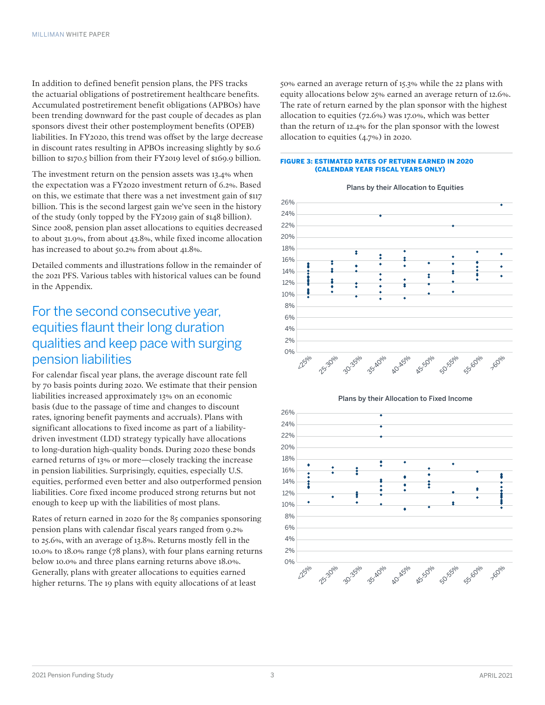In addition to defined benefit pension plans, the PFS tracks the actuarial obligations of postretirement healthcare benefits. Accumulated postretirement benefit obligations (APBOs) have been trending downward for the past couple of decades as plan sponsors divest their other postemployment benefits (OPEB) liabilities. In FY2020, this trend was offset by the large decrease in discount rates resulting in APBOs increasing slightly by \$0.6 billion to \$170.5 billion from their FY2019 level of \$169.9 billion.

The investment return on the pension assets was 13.4% when the expectation was a FY2020 investment return of 6.2%. Based on this, we estimate that there was a net investment gain of \$117 billion. This is the second largest gain we've seen in the history of the study (only topped by the FY2019 gain of \$148 billion). Since 2008, pension plan asset allocations to equities decreased to about 31.9%, from about 43.8%, while fixed income allocation has increased to about 50.2% from about 41.8%.

Detailed comments and illustrations follow in the remainder of the 2021 PFS. Various tables with historical values can be found in the Appendix.

# For the second consecutive year, equities flaunt their long duration qualities and keep pace with surging pension liabilities

For calendar fiscal year plans, the average discount rate fell by 70 basis points during 2020. We estimate that their pension liabilities increased approximately 13% on an economic basis (due to the passage of time and changes to discount rates, ignoring benefit payments and accruals). Plans with significant allocations to fixed income as part of a liabilitydriven investment (LDI) strategy typically have allocations to long-duration high-quality bonds. During 2020 these bonds earned returns of 13% or more—closely tracking the increase in pension liabilities. Surprisingly, equities, especially U.S. equities, performed even better and also outperformed pension liabilities. Core fixed income produced strong returns but not enough to keep up with the liabilities of most plans.

Rates of return earned in 2020 for the 85 companies sponsoring pension plans with calendar fiscal years ranged from 9.2% to 25.6%, with an average of 13.8%. Returns mostly fell in the 10.0% to 18.0% range (78 plans), with four plans earning returns below 10.0% and three plans earning returns above 18.0%. Generally, plans with greater allocations to equities earned higher returns. The 19 plans with equity allocations of at least

50% earned an average return of 15.3% while the 22 plans with equity allocations below 25% earned an average return of 12.6%. The rate of return earned by the plan sponsor with the highest allocation to equities (72.6%) was 17.0%, which was better than the return of 12.4% for the plan sponsor with the lowest allocation to equities (4.7%) in 2020.

#### FIGURE 3: ESTIMATED RATES OF RETURN EARNED IN 2020 (CALENDAR YEAR FISCAL YEARS ONLY)



Plans by their Allocation to Equities



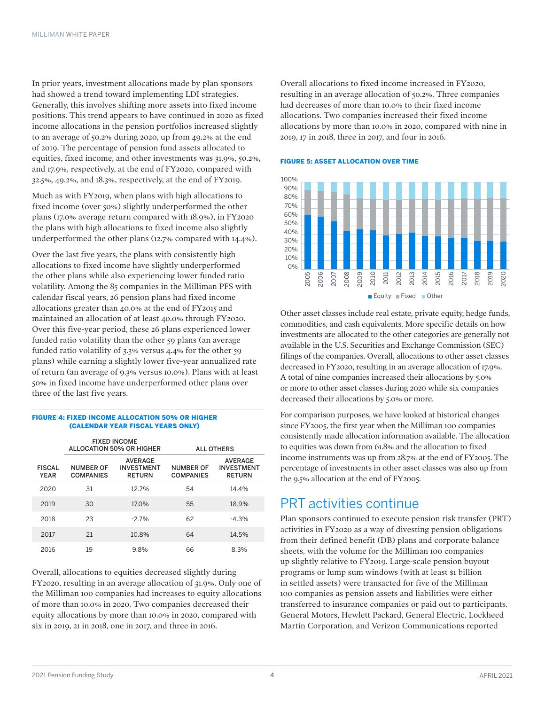In prior years, investment allocations made by plan sponsors had showed a trend toward implementing LDI strategies. Generally, this involves shifting more assets into fixed income positions. This trend appears to have continued in 2020 as fixed income allocations in the pension portfolios increased slightly to an average of 50.2% during 2020, up from 49.2% at the end of 2019. The percentage of pension fund assets allocated to equities, fixed income, and other investments was 31.9%, 50.2%, and 17.9%, respectively, at the end of FY2020, compared with 32.5%, 49.2%, and 18.3%, respectively, at the end of FY2019.

Much as with FY2019, when plans with high allocations to fixed income (over 50%) slightly underperformed the other plans (17.0% average return compared with 18.9%), in FY2020 the plans with high allocations to fixed income also slightly underperformed the other plans (12.7% compared with 14.4%).

Over the last five years, the plans with consistently high allocations to fixed income have slightly underperformed the other plans while also experiencing lower funded ratio volatility. Among the 85 companies in the Milliman PFS with calendar fiscal years, 26 pension plans had fixed income allocations greater than 40.0% at the end of FY2015 and maintained an allocation of at least 40.0% through FY2020. Over this five-year period, these 26 plans experienced lower funded ratio volatility than the other 59 plans (an average funded ratio volatility of 3.3% versus 4.4% for the other 59 plans) while earning a slightly lower five-year annualized rate of return (an average of 9.3% versus 10.0%). Plans with at least 50% in fixed income have underperformed other plans over three of the last five years.

#### FIGURE 4: FIXED INCOME ALLOCATION 50% OR HIGHER (CALENDAR YEAR FISCAL YEARS ONLY)

|                              |                                      | <b>FIXED INCOME</b><br>ALLOCATION 50% OR HIGHER      | <b>ALL OTHERS</b>                    |                                                      |  |  |
|------------------------------|--------------------------------------|------------------------------------------------------|--------------------------------------|------------------------------------------------------|--|--|
| <b>FISCAL</b><br><b>YEAR</b> | <b>NUMBER OF</b><br><b>COMPANIES</b> | <b>AVERAGE</b><br><b>INVESTMENT</b><br><b>RETURN</b> | <b>NUMBER OF</b><br><b>COMPANIES</b> | <b>AVERAGE</b><br><b>INVESTMENT</b><br><b>RETURN</b> |  |  |
| 2020                         | 31                                   | 127%                                                 | 54                                   | 14.4%                                                |  |  |
| 2019                         | 30                                   | 17.0%                                                | 55                                   | 18.9%                                                |  |  |
| 2018                         | 23                                   | $-2.7%$                                              | 62                                   | $-4.3%$                                              |  |  |
| 2017                         | 21                                   | 10.8%                                                | 64                                   | 14.5%                                                |  |  |
| 2016                         | 19                                   | 9.8%                                                 | 66                                   | 8.3%                                                 |  |  |

Overall, allocations to equities decreased slightly during FY2020, resulting in an average allocation of 31.9%. Only one of the Milliman 100 companies had increases to equity allocations of more than 10.0% in 2020. Two companies decreased their equity allocations by more than 10.0% in 2020, compared with six in 2019, 21 in 2018, one in 2017, and three in 2016.

Overall allocations to fixed income increased in FY2020, resulting in an average allocation of 50.2%. Three companies had decreases of more than 10.0% to their fixed income allocations. Two companies increased their fixed income allocations by more than 10.0% in 2020, compared with nine in 2019, 17 in 2018, three in 2017, and four in 2016.

#### FIGURE 5: ASSET ALLOCATION OVER TIME



Other asset classes include real estate, private equity, hedge funds, commodities, and cash equivalents. More specific details on how investments are allocated to the other categories are generally not available in the U.S. Securities and Exchange Commission (SEC) filings of the companies. Overall, allocations to other asset classes decreased in FY2020, resulting in an average allocation of 17.9%. A total of nine companies increased their allocations by 5.0% or more to other asset classes during 2020 while six companies decreased their allocations by 5.0% or more.

For comparison purposes, we have looked at historical changes since FY2005, the first year when the Milliman 100 companies consistently made allocation information available. The allocation to equities was down from 61.8% and the allocation to fixed income instruments was up from 28.7% at the end of FY2005. The percentage of investments in other asset classes was also up from the 9.5% allocation at the end of FY2005.

### PRT activities continue

Plan sponsors continued to execute pension risk transfer (PRT) activities in FY2020 as a way of divesting pension obligations from their defined benefit (DB) plans and corporate balance sheets, with the volume for the Milliman 100 companies up slightly relative to FY2019. Large-scale pension buyout programs or lump sum windows (with at least \$1 billion in settled assets) were transacted for five of the Milliman 100 companies as pension assets and liabilities were either transferred to insurance companies or paid out to participants. General Motors, Hewlett Packard, General Electric, Lockheed Martin Corporation, and Verizon Communications reported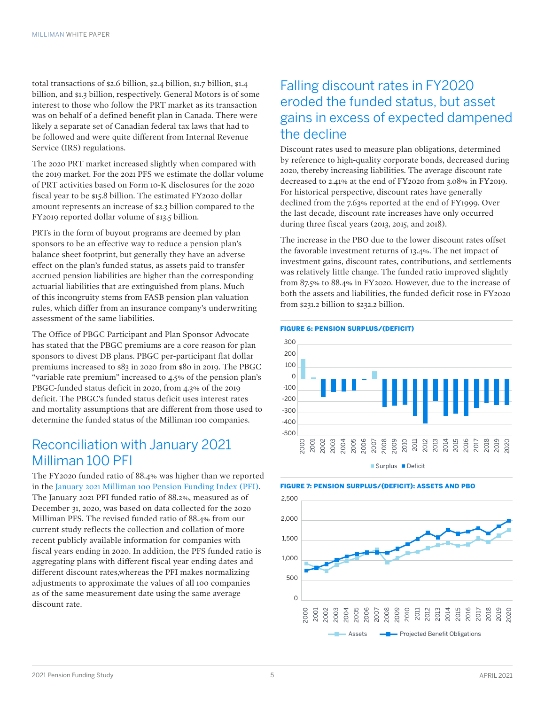total transactions of \$2.6 billion, \$2.4 billion, \$1.7 billion, \$1.4 billion, and \$1.3 billion, respectively. General Motors is of some interest to those who follow the PRT market as its transaction was on behalf of a defined benefit plan in Canada. There were likely a separate set of Canadian federal tax laws that had to be followed and were quite different from Internal Revenue Service (IRS) regulations.

The 2020 PRT market increased slightly when compared with the 2019 market. For the 2021 PFS we estimate the dollar volume of PRT activities based on Form 10-K disclosures for the 2020 fiscal year to be \$15.8 billion. The estimated FY2020 dollar amount represents an increase of \$2.3 billion compared to the FY2019 reported dollar volume of \$13.5 billion.

PRTs in the form of buyout programs are deemed by plan sponsors to be an effective way to reduce a pension plan's balance sheet footprint, but generally they have an adverse effect on the plan's funded status, as assets paid to transfer accrued pension liabilities are higher than the corresponding actuarial liabilities that are extinguished from plans. Much of this incongruity stems from FASB pension plan valuation rules, which differ from an insurance company's underwriting assessment of the same liabilities.

The Office of PBGC Participant and Plan Sponsor Advocate has stated that the PBGC premiums are a core reason for plan sponsors to divest DB plans. PBGC per-participant flat dollar premiums increased to \$83 in 2020 from \$80 in 2019. The PBGC "variable rate premium" increased to 4.5% of the pension plan's PBGC-funded status deficit in 2020, from 4.3% of the 2019 deficit. The PBGC's funded status deficit uses interest rates and mortality assumptions that are different from those used to determine the funded status of the Milliman 100 companies.

# Reconciliation with January 2021 Milliman 100 PFI

The FY2020 funded ratio of 88.4% was higher than we reported in the [January 2021 Milliman 100 Pension Funding Index \(PFI\).](https://www.milliman.com/en/insight/pension-funding-index-january-2021) The January 2021 PFI funded ratio of 88.2%, measured as of December 31, 2020, was based on data collected for the 2020 Milliman PFS. The revised funded ratio of 88.4% from our current study reflects the collection and collation of more recent publicly available information for companies with fiscal years ending in 2020. In addition, the PFS funded ratio is aggregating plans with different fiscal year ending dates and different discount rates,whereas the PFI makes normalizing adjustments to approximate the values of all 100 companies as of the same measurement date using the same average discount rate.

# Falling discount rates in FY2020 eroded the funded status, but asset gains in excess of expected dampened the decline

Discount rates used to measure plan obligations, determined by reference to high-quality corporate bonds, decreased during 2020, thereby increasing liabilities. The average discount rate decreased to 2.41% at the end of FY2020 from 3.08% in FY2019. For historical perspective, discount rates have generally declined from the 7.63% reported at the end of FY1999. Over the last decade, discount rate increases have only occurred during three fiscal years (2013, 2015, and 2018).

The increase in the PBO due to the lower discount rates offset the favorable investment returns of 13.4%. The net impact of investment gains, discount rates, contributions, and settlements was relatively little change. The funded ratio improved slightly from 87.5% to 88.4% in FY2020. However, due to the increase of both the assets and liabilities, the funded deficit rose in FY2020 from \$231.2 billion to \$232.2 billion.







#### FIGURE 7: PENSION SURPLUS/(DEFICIT): ASSETS AND PBO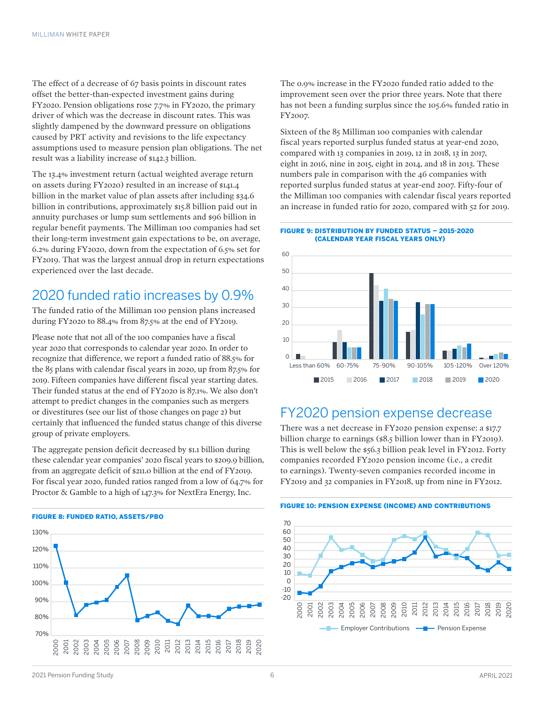The effect of a decrease of 67 basis points in discount rates offset the better-than-expected investment gains during FY2020. Pension obligations rose 7.7% in FY2020, the primary driver of which was the decrease in discount rates. This was slightly dampened by the downward pressure on obligations caused by PRT activity and revisions to the life expectancy assumptions used to measure pension plan obligations. The net result was a liability increase of \$142.3 billion.

The 13.4% investment return (actual weighted average return on assets during FY2020) resulted in an increase of \$141.4 billion in the market value of plan assets after including \$34.6 billion in contributions, approximately \$15.8 billion paid out in annuity purchases or lump sum settlements and \$96 billion in regular benefit payments. The Milliman 100 companies had set their long-term investment gain expectations to be, on average, 6.2% during FY2020, down from the expectation of 6.5% set for FY2019. That was the largest annual drop in return expectations experienced over the last decade.

# 2020 funded ratio increases by 0.9%

The funded ratio of the Milliman 100 pension plans increased during FY2020 to 88.4% from 87.5% at the end of FY2019.

Please note that not all of the 100 companies have a fiscal year 2020 that corresponds to calendar year 2020. In order to recognize that difference, we report a funded ratio of 88.5% for the 85 plans with calendar fiscal years in 2020, up from 87.5% for 2019. Fifteen companies have different fiscal year starting dates. Their funded status at the end of FY2020 is 87.1%. We also don't attempt to predict changes in the companies such as mergers or divestitures (see our list of those changes on page 2) but certainly that influenced the funded status change of this diverse group of private employers.

The aggregate pension deficit decreased by \$1.1 billion during these calendar year companies' 2020 fiscal years to \$209.9 billion, from an aggregate deficit of \$211.0 billion at the end of FY2019. For fiscal year 2020, funded ratios ranged from a low of 64.7% for Proctor & Gamble to a high of 147.3% for NextEra Energy, Inc.



The 0.9% increase in the FY2020 funded ratio added to the improvement seen over the prior three years. Note that there has not been a funding surplus since the 105.6% funded ratio in FY2007.

Sixteen of the 85 Milliman 100 companies with calendar fiscal years reported surplus funded status at year-end 2020, compared with 13 companies in 2019, 12 in 2018, 13 in 2017, eight in 2016, nine in 2015, eight in 2014, and 18 in 2013. These numbers pale in comparison with the 46 companies with reported surplus funded status at year-end 2007. Fifty-four of the Milliman 100 companies with calendar fiscal years reported an increase in funded ratio for 2020, compared with 52 for 2019.

#### FIGURE 9: DISTRIBUTION BY FUNDED STATUS – 2015-2020 (CALENDAR YEAR FISCAL YEARS ONLY)



### FY2020 pension expense decrease

There was a net decrease in FY2020 pension expense: a \$17.7 billion charge to earnings (\$8.5 billion lower than in FY2019). This is well below the \$56.3 billion peak level in FY2012. Forty companies recorded FY2020 pension income (i.e., a credit to earnings). Twenty-seven companies recorded income in FY2019 and 32 companies in FY2018, up from nine in FY2012.



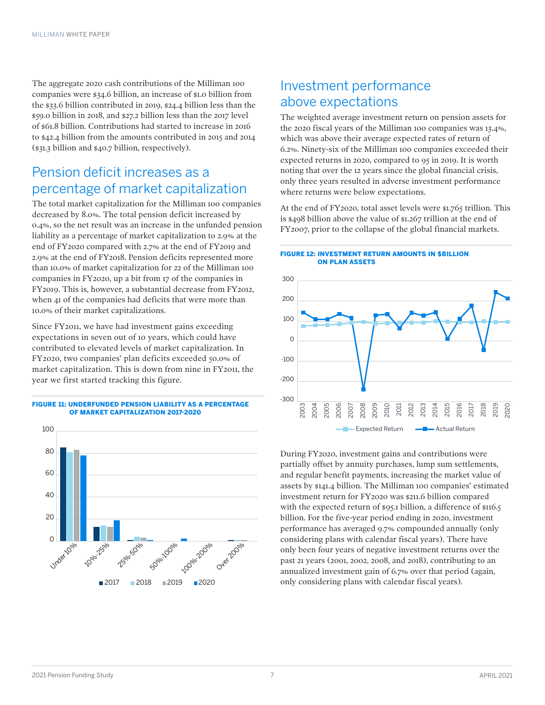The aggregate 2020 cash contributions of the Milliman 100 companies were \$34.6 billion, an increase of \$1.0 billion from the \$33.6 billion contributed in 2019, \$24.4 billion less than the \$59.0 billion in 2018, and \$27.2 billion less than the 2017 level of \$61.8 billion. Contributions had started to increase in 2016 to \$42.4 billion from the amounts contributed in 2015 and 2014 (\$31.3 billion and \$40.7 billion, respectively).

# Pension deficit increases as a percentage of market capitalization

The total market capitalization for the Milliman 100 companies decreased by 8.0%. The total pension deficit increased by 0.4%, so the net result was an increase in the unfunded pension liability as a percentage of market capitalization to 2.9% at the end of FY2020 compared with 2.7% at the end of FY2019 and 2.9% at the end of FY2018. Pension deficits represented more than 10.0% of market capitalization for 22 of the Milliman 100 companies in FY2020, up a bit from 17 of the companies in FY2019. This is, however, a substantial decrease from FY2012, when 41 of the companies had deficits that were more than 10.0% of their market capitalizations.

Since FY2011, we have had investment gains exceeding expectations in seven out of 10 years, which could have contributed to elevated levels of market capitalization. In FY2020, two companies' plan deficits exceeded 50.0% of market capitalization. This is down from nine in FY2011, the year we first started tracking this figure.

#### FIGURE 11: UNDERFUNDED PENSION LIABILITY AS A PERCENTAGE OF MARKET CAPITALIZATION 2017-2020



# Investment performance above expectations

The weighted average investment return on pension assets for the 2020 fiscal years of the Milliman 100 companies was 13.4%, which was above their average expected rates of return of 6.2%. Ninety-six of the Milliman 100 companies exceeded their expected returns in 2020, compared to 95 in 2019. It is worth noting that over the 12 years since the global financial crisis, only three years resulted in adverse investment performance where returns were below expectations.

At the end of FY2020, total asset levels were \$1.765 trillion. This is \$498 billion above the value of \$1.267 trillion at the end of FY2007, prior to the collapse of the global financial markets.

#### FIGURE 12: INVESTMENT RETURN AMOUNTS IN \$BILLION ON PLAN ASSETS



During FY2020, investment gains and contributions were partially offset by annuity purchases, lump sum settlements, and regular benefit payments, increasing the market value of assets by \$141.4 billion. The Milliman 100 companies' estimated investment return for FY2020 was \$211.6 billion compared with the expected return of \$95.1 billion, a difference of \$116.5 billion. For the five-year period ending in 2020, investment performance has averaged 9.7% compounded annually (only considering plans with calendar fiscal years). There have only been four years of negative investment returns over the past 21 years (2001, 2002, 2008, and 2018), contributing to an annualized investment gain of 6.7% over that period (again, only considering plans with calendar fiscal years).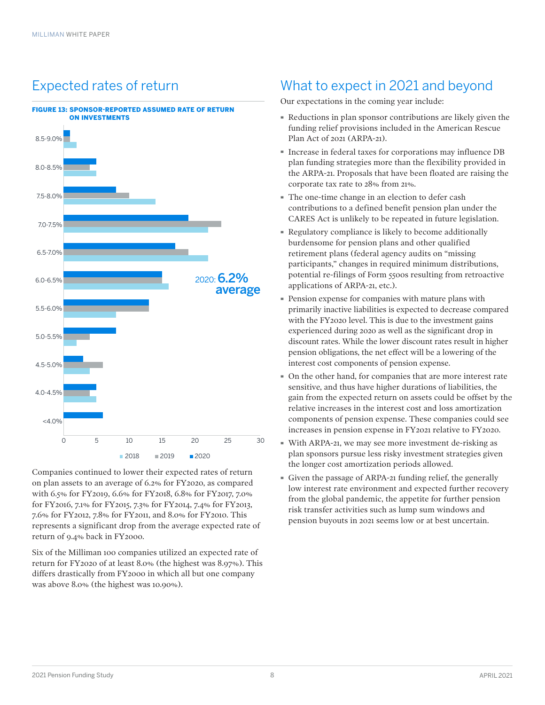# Expected rates of return



Companies continued to lower their expected rates of return on plan assets to an average of 6.2% for FY2020, as compared with 6.5% for FY2019, 6.6% for FY2018, 6.8% for FY2017, 7.0% for FY2016, 7.1% for FY2015, 7.3% for FY2014, 7.4% for FY2013, 7.6% for FY2012, 7.8% for FY2011, and 8.0% for FY2010. This represents a significant drop from the average expected rate of return of 9.4% back in FY2000.

Six of the Milliman 100 companies utilized an expected rate of return for FY2020 of at least 8.0% (the highest was 8.97%). This differs drastically from FY2000 in which all but one company was above 8.0% (the highest was 10.90%).

# What to expect in 2021 and beyond

Our expectations in the coming year include:

- · Reductions in plan sponsor contributions are likely given the funding relief provisions included in the American Rescue Plan Act of 2021 (ARPA-21).
- · Increase in federal taxes for corporations may influence DB plan funding strategies more than the flexibility provided in the ARPA-21. Proposals that have been floated are raising the corporate tax rate to 28% from 21%.
- The one-time change in an election to defer cash contributions to a defined benefit pension plan under the CARES Act is unlikely to be repeated in future legislation.
- · Regulatory compliance is likely to become additionally burdensome for pension plans and other qualified retirement plans (federal agency audits on "missing participants," changes in required minimum distributions, potential re-filings of Form 5500s resulting from retroactive applications of ARPA-21, etc.).
- Pension expense for companies with mature plans with primarily inactive liabilities is expected to decrease compared with the FY2020 level. This is due to the investment gains experienced during 2020 as well as the significant drop in discount rates. While the lower discount rates result in higher pension obligations, the net effect will be a lowering of the interest cost components of pension expense.
- · On the other hand, for companies that are more interest rate sensitive, and thus have higher durations of liabilities, the gain from the expected return on assets could be offset by the relative increases in the interest cost and loss amortization components of pension expense. These companies could see increases in pension expense in FY2021 relative to FY2020.
- · With ARPA-21, we may see more investment de-risking as plan sponsors pursue less risky investment strategies given the longer cost amortization periods allowed.
- · Given the passage of ARPA-21 funding relief, the generally low interest rate environment and expected further recovery from the global pandemic, the appetite for further pension risk transfer activities such as lump sum windows and pension buyouts in 2021 seems low or at best uncertain.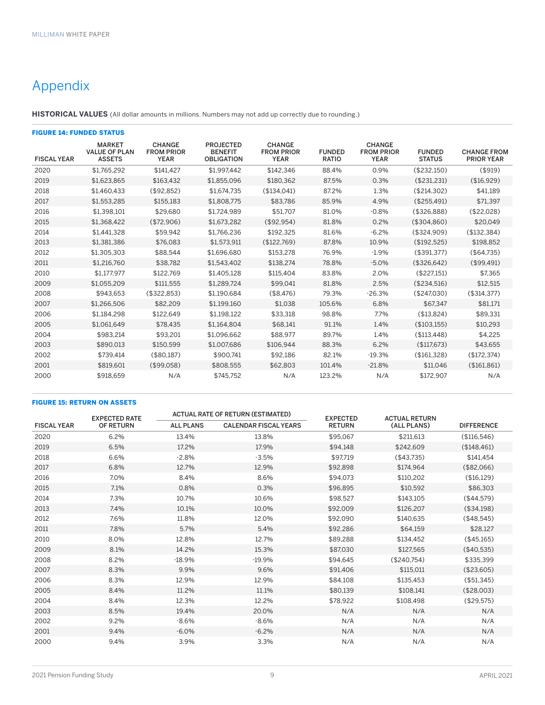# Appendix

**HISTORICAL VALUES** (All dollar amounts in millions. Numbers may not add up correctly due to rounding.)

|                    | <b>FIGURE 14: FUNDED STATUS</b>                        |                                                   |                                                         |                                                   |                               |                                                   |                                |                                         |  |  |  |
|--------------------|--------------------------------------------------------|---------------------------------------------------|---------------------------------------------------------|---------------------------------------------------|-------------------------------|---------------------------------------------------|--------------------------------|-----------------------------------------|--|--|--|
| <b>FISCAL YEAR</b> | <b>MARKET</b><br><b>VALUE OF PLAN</b><br><b>ASSETS</b> | <b>CHANGE</b><br><b>FROM PRIOR</b><br><b>YEAR</b> | <b>PROJECTED</b><br><b>BENEFIT</b><br><b>OBLIGATION</b> | <b>CHANGE</b><br><b>FROM PRIOR</b><br><b>YEAR</b> | <b>FUNDED</b><br><b>RATIO</b> | <b>CHANGE</b><br><b>FROM PRIOR</b><br><b>YEAR</b> | <b>FUNDED</b><br><b>STATUS</b> | <b>CHANGE FROM</b><br><b>PRIOR YEAR</b> |  |  |  |
| 2020               | \$1,765,292                                            | \$141.427                                         | \$1,997,442                                             | \$142.346                                         | 88.4%                         | 0.9%                                              | (\$232,150)                    | (\$919)                                 |  |  |  |
| 2019               | \$1.623.865                                            | \$163.432                                         | \$1.855.096                                             | \$180.362                                         | 87.5%                         | 0.3%                                              | (\$231.231)                    | (\$16,929)                              |  |  |  |
| 2018               | \$1,460,433                                            | (\$92,852)                                        | \$1,674,735                                             | (\$134,041)                                       | 87.2%                         | 1.3%                                              | (\$214,302)                    | \$41,189                                |  |  |  |
| 2017               | \$1,553,285                                            | \$155,183                                         | \$1,808,775                                             | \$83.786                                          | 85.9%                         | 4.9%                                              | (\$255.491)                    | \$71,397                                |  |  |  |
| 2016               | \$1,398,101                                            | \$29.680                                          | \$1,724,989                                             | \$51,707                                          | 81.0%                         | $-0.8%$                                           | (\$326,888)                    | (\$22,028)                              |  |  |  |
| 2015               | \$1.368,422                                            | (\$72,906)                                        | \$1,673,282                                             | (\$92.954)                                        | 81.8%                         | 0.2%                                              | (\$304.860)                    | \$20.049                                |  |  |  |
| 2014               | \$1.441.328                                            | \$59.942                                          | \$1.766.236                                             | \$192.325                                         | 81.6%                         | $-6.2%$                                           | (\$324.909)                    | (\$132,384)                             |  |  |  |
| 2013               | \$1,381,386                                            | \$76,083                                          | \$1,573,911                                             | (\$122,769)                                       | 87.8%                         | 10.9%                                             | (\$192,525)                    | \$198,852                               |  |  |  |
| 2012               | \$1,305,303                                            | \$88,544                                          | \$1,696,680                                             | \$153,278                                         | 76.9%                         | $-1.9%$                                           | (\$391,377)                    | (\$64,735)                              |  |  |  |
| 2011               | \$1,216,760                                            | \$38,782                                          | \$1,543,402                                             | \$138,274                                         | 78.8%                         | $-5.0%$                                           | (\$326,642)                    | (\$99,491)                              |  |  |  |
| 2010               | \$1,177,977                                            | \$122.769                                         | \$1,405,128                                             | \$115,404                                         | 83.8%                         | 2.0%                                              | (\$227,151)                    | \$7,365                                 |  |  |  |
| 2009               | \$1,055,209                                            | \$111,555                                         | \$1,289,724                                             | \$99,041                                          | 81.8%                         | 2.5%                                              | (\$234,516)                    | \$12,515                                |  |  |  |
| 2008               | \$943,653                                              | (\$322,853)                                       | \$1,190,684                                             | (\$8,476)                                         | 79.3%                         | $-26.3%$                                          | (\$247,030)                    | (\$314,377)                             |  |  |  |
| 2007               | \$1,266,506                                            | \$82,209                                          | \$1,199,160                                             | \$1,038                                           | 105.6%                        | 6.8%                                              | \$67,347                       | \$81,171                                |  |  |  |
| 2006               | \$1.184.298                                            | \$122,649                                         | \$1,198,122                                             | \$33,318                                          | 98.8%                         | 7.7%                                              | (\$13,824)                     | \$89,331                                |  |  |  |
| 2005               | \$1.061.649                                            | \$78,435                                          | \$1,164,804                                             | \$68,141                                          | 91.1%                         | 1.4%                                              | (\$103,155)                    | \$10,293                                |  |  |  |
| 2004               | \$983.214                                              | \$93.201                                          | \$1.096.662                                             | \$88.977                                          | 89.7%                         | 1.4%                                              | (\$113.448)                    | \$4,225                                 |  |  |  |
| 2003               | \$890,013                                              | \$150,599                                         | \$1,007,686                                             | \$106,944                                         | 88.3%                         | 6.2%                                              | (\$117,673)                    | \$43,655                                |  |  |  |
| 2002               | \$739,414                                              | (\$80,187)                                        | \$900,741                                               | \$92,186                                          | 82.1%                         | $-19.3%$                                          | (\$161,328)                    | (\$172, 374)                            |  |  |  |
| 2001               | \$819,601                                              | (\$99,058)                                        | \$808,555                                               | \$62,803                                          | 101.4%                        | $-21.8%$                                          | \$11.046                       | (\$161,861)                             |  |  |  |
| 2000               | \$918,659                                              | N/A                                               | \$745,752                                               | N/A                                               | 123.2%                        | N/A                                               | \$172,907                      | N/A                                     |  |  |  |

#### FIGURE 15: RETURN ON ASSETS

|                    | <b>EXPECTED RATE</b> |                  | <b>ACTUAL RATE OF RETURN (ESTIMATED)</b> | <b>EXPECTED</b> | <b>ACTUAL RETURN</b> |                   |
|--------------------|----------------------|------------------|------------------------------------------|-----------------|----------------------|-------------------|
| <b>FISCAL YEAR</b> | OF RETURN            | <b>ALL PLANS</b> | <b>CALENDAR FISCAL YEARS</b>             | <b>RETURN</b>   | (ALL PLANS)          | <b>DIFFERENCE</b> |
| 2020               | 6.2%                 | 13.4%            | 13.8%                                    | \$95,067        | \$211,613            | (\$116,546)       |
| 2019               | 6.5%                 | 17.2%            | 17.9%                                    | \$94,148        | \$242,609            | (\$148,461)       |
| 2018               | 6.6%                 | $-2.8%$          | $-3.5%$                                  | \$97,719        | (\$43,735)           | \$141,454         |
| 2017               | 6.8%                 | 12.7%            | 12.9%                                    | \$92,898        | \$174,964            | (\$82,066)        |
| 2016               | 7.0%                 | 8.4%             | 8.6%                                     | \$94,073        | \$110,202            | (\$16,129)        |
| 2015               | 7.1%                 | 0.8%             | 0.3%                                     | \$96,895        | \$10,592             | \$86,303          |
| 2014               | 7.3%                 | 10.7%            | 10.6%                                    | \$98,527        | \$143,105            | (\$44,579)        |
| 2013               | 7.4%                 | 10.1%            | 10.0%                                    | \$92,009        | \$126,207            | (\$34,198)        |
| 2012               | 7.6%                 | 11.8%            | 12.0%                                    | \$92,090        | \$140,635            | (\$48,545)        |
| 2011               | 7.8%                 | 5.7%             | 5.4%                                     | \$92,286        | \$64,159             | \$28,127          |
| 2010               | 8.0%                 | 12.8%            | 12.7%                                    | \$89,288        | \$134,452            | (\$45,165)        |
| 2009               | 8.1%                 | 14.2%            | 15.3%                                    | \$87,030        | \$127,565            | (\$40,535)        |
| 2008               | 8.2%                 | $-18.9%$         | $-19.9%$                                 | \$94,645        | (\$240,754)          | \$335,399         |
| 2007               | 8.3%                 | 9.9%             | 9.6%                                     | \$91,406        | \$115,011            | (\$23,605)        |
| 2006               | 8.3%                 | 12.9%            | 12.9%                                    | \$84,108        | \$135,453            | (\$51,345)        |
| 2005               | 8.4%                 | 11.2%            | 11.1%                                    | \$80,139        | \$108,141            | (\$28,003)        |
| 2004               | 8.4%                 | 12.3%            | 12.2%                                    | \$78,922        | \$108,498            | (\$29,575)        |
| 2003               | 8.5%                 | 19.4%            | 20.0%                                    | N/A             | N/A                  | N/A               |
| 2002               | 9.2%                 | $-8.6%$          | $-8.6%$                                  | N/A             | N/A                  | N/A               |
| 2001               | 9.4%                 | $-6.0\%$         | $-6.2%$                                  | N/A             | N/A                  | N/A               |
| 2000               | 9.4%                 | 3.9%             | 3.3%                                     | N/A             | N/A                  | N/A               |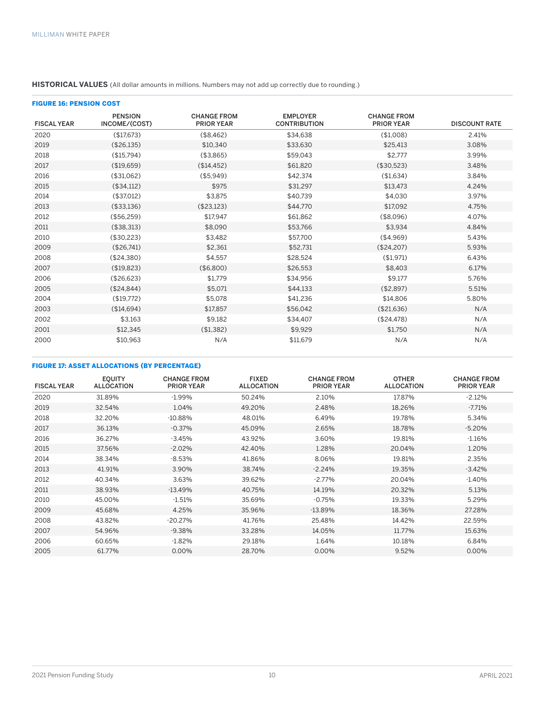#### **HISTORICAL VALUES** (All dollar amounts in millions. Numbers may not add up correctly due to rounding.)

| <b>FIGURE 16: PENSION COST</b> |                                 |                                         |                                        |                                         |                      |  |  |  |  |
|--------------------------------|---------------------------------|-----------------------------------------|----------------------------------------|-----------------------------------------|----------------------|--|--|--|--|
| <b>FISCAL YEAR</b>             | <b>PENSION</b><br>INCOME/(COST) | <b>CHANGE FROM</b><br><b>PRIOR YEAR</b> | <b>EMPLOYER</b><br><b>CONTRIBUTION</b> | <b>CHANGE FROM</b><br><b>PRIOR YEAR</b> | <b>DISCOUNT RATE</b> |  |  |  |  |
| 2020                           | (\$17,673)                      | (\$8,462)                               | \$34,638                               | (\$1,008)                               | 2.41%                |  |  |  |  |
| 2019                           | (\$26,135)                      | \$10.340                                | \$33,630                               | \$25.413                                | 3.08%                |  |  |  |  |
| 2018                           | (\$15,794)                      | (\$3,865)                               | \$59.043                               | \$2.777                                 | 3.99%                |  |  |  |  |
| 2017                           | (\$19,659)                      | (\$14, 452)                             | \$61,820                               | (\$30,523)                              | 3.48%                |  |  |  |  |
| 2016                           | (\$31,062)                      | (\$5,949)                               | \$42,374                               | (\$1,634)                               | 3.84%                |  |  |  |  |
| 2015                           | (\$34,112)                      | \$975                                   | \$31,297                               | \$13,473                                | 4.24%                |  |  |  |  |
| 2014                           | (\$37,012)                      | \$3,875                                 | \$40,739                               | \$4,030                                 | 3.97%                |  |  |  |  |
| 2013                           | (\$33,136)                      | (\$23,123)                              | \$44,770                               | \$17,092                                | 4.75%                |  |  |  |  |
| 2012                           | (\$56,259)                      | \$17,947                                | \$61,862                               | (\$8,096)                               | 4.07%                |  |  |  |  |
| 2011                           | (\$38,313)                      | \$8,090                                 | \$53,766                               | \$3.934                                 | 4.84%                |  |  |  |  |
| 2010                           | (\$30,223)                      | \$3,482                                 | \$57,700                               | ( \$4,969)                              | 5.43%                |  |  |  |  |
| 2009                           | (\$26,741)                      | \$2,361                                 | \$52,731                               | (\$24,207)                              | 5.93%                |  |  |  |  |
| 2008                           | (\$24,380)                      | \$4,557                                 | \$28,524                               | (\$1,971)                               | 6.43%                |  |  |  |  |
| 2007                           | (\$19,823)                      | (\$6,800)                               | \$26,553                               | \$8,403                                 | 6.17%                |  |  |  |  |
| 2006                           | (\$26,623)                      | \$1,779                                 | \$34,956                               | \$9,177                                 | 5.76%                |  |  |  |  |
| 2005                           | (\$24,844)                      | \$5,071                                 | \$44,133                               | (\$2,897)                               | 5.51%                |  |  |  |  |
| 2004                           | (\$19,772)                      | \$5,078                                 | \$41,236                               | \$14,806                                | 5.80%                |  |  |  |  |
| 2003                           | (\$14,694)                      | \$17.857                                | \$56,042                               | (\$21,636)                              | N/A                  |  |  |  |  |
| 2002                           | \$3,163                         | \$9,182                                 | \$34,407                               | (\$24,478)                              | N/A                  |  |  |  |  |
| 2001                           | \$12,345                        | (\$1,382)                               | \$9,929                                | \$1,750                                 | N/A                  |  |  |  |  |
| 2000                           | \$10,963                        | N/A                                     | \$11,679                               | N/A                                     | N/A                  |  |  |  |  |

#### FIGURE 17: ASSET ALLOCATIONS (BY PERCENTAGE)

| <b>FISCAL YEAR</b> | <b>EQUITY</b><br><b>ALLOCATION</b> | <b>CHANGE FROM</b><br><b>PRIOR YEAR</b> | <b>FIXED</b><br><b>ALLOCATION</b> | <b>CHANGE FROM</b><br><b>PRIOR YEAR</b> | <b>OTHER</b><br><b>ALLOCATION</b> | <b>CHANGE FROM</b><br><b>PRIOR YEAR</b> |
|--------------------|------------------------------------|-----------------------------------------|-----------------------------------|-----------------------------------------|-----------------------------------|-----------------------------------------|
| 2020               | 31.89%                             | $-1.99%$                                | 50.24%                            | 2.10%                                   | 17.87%                            | $-2.12%$                                |
| 2019               | 32.54%                             | 1.04%                                   | 49.20%                            | 2.48%                                   | 18.26%                            | $-7.71\%$                               |
| 2018               | 32.20%                             | $-10.88%$                               | 48.01%                            | 6.49%                                   | 19.78%                            | 5.34%                                   |
| 2017               | 36.13%                             | $-0.37%$                                | 45.09%                            | 2.65%                                   | 18.78%                            | $-5.20%$                                |
| 2016               | 36.27%                             | $-3.45%$                                | 43.92%                            | 3.60%                                   | 19.81%                            | $-1.16%$                                |
| 2015               | 37.56%                             | $-2.02%$                                | 42.40%                            | 1.28%                                   | 20.04%                            | 1.20%                                   |
| 2014               | 38.34%                             | $-8.53%$                                | 41.86%                            | 8.06%                                   | 19.81%                            | 2.35%                                   |
| 2013               | 41.91%                             | 3.90%                                   | 38.74%                            | $-2.24%$                                | 19.35%                            | $-3.42%$                                |
| 2012               | 40.34%                             | 3.63%                                   | 39.62%                            | $-2.77%$                                | 20.04%                            | $-1.40%$                                |
| 2011               | 38.93%                             | $-13.49%$                               | 40.75%                            | 14.19%                                  | 20.32%                            | 5.13%                                   |
| 2010               | 45.00%                             | $-1.51%$                                | 35.69%                            | $-0.75%$                                | 19.33%                            | 5.29%                                   |
| 2009               | 45.68%                             | 4.25%                                   | 35.96%                            | $-13.89%$                               | 18.36%                            | 27.28%                                  |
| 2008               | 43.82%                             | $-20.27%$                               | 41.76%                            | 25.48%                                  | 14.42%                            | 22.59%                                  |
| 2007               | 54.96%                             | $-9.38%$                                | 33.28%                            | 14.05%                                  | 11.77%                            | 15.63%                                  |
| 2006               | 60.65%                             | $-1.82%$                                | 29.18%                            | 1.64%                                   | 10.18%                            | 6.84%                                   |
| 2005               | 61.77%                             | 0.00%                                   | 28.70%                            | 0.00%                                   | 9.52%                             | $0.00\%$                                |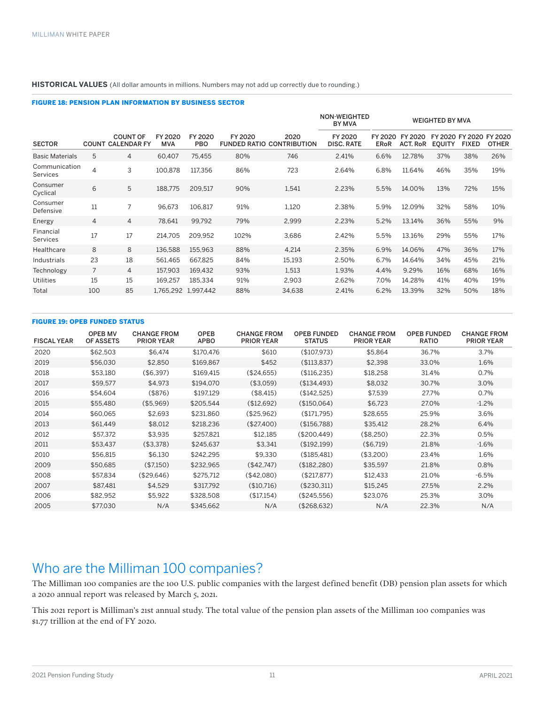#### **HISTORICAL VALUES** (All dollar amounts in millions. Numbers may not add up correctly due to rounding.)

#### FIGURE 18: PENSION PLAN INFORMATION BY BUSINESS SECTOR

|                                  |                |                                             |                       |                       |         |                                          | <b>NON-WEIGHTED</b><br><b>BY MVA</b> | <b>WEIGHTED BY MVA</b> |                            |                                          |              |              |
|----------------------------------|----------------|---------------------------------------------|-----------------------|-----------------------|---------|------------------------------------------|--------------------------------------|------------------------|----------------------------|------------------------------------------|--------------|--------------|
| <b>SECTOR</b>                    |                | <b>COUNT OF</b><br><b>COUNT CALENDAR FY</b> | FY 2020<br><b>MVA</b> | FY 2020<br><b>PBO</b> | FY 2020 | 2020<br><b>FUNDED RATIO CONTRIBUTION</b> | FY 2020<br><b>DISC, RATE</b>         | FY 2020<br><b>ERoR</b> | FY 2020<br><b>ACT. RoR</b> | FY 2020 FY 2020 FY 2020<br><b>EQUITY</b> | <b>FIXED</b> | <b>OTHER</b> |
| <b>Basic Materials</b>           | 5              | 4                                           | 60.407                | 75,455                | 80%     | 746                                      | 2.41%                                | 6.6%                   | 12.78%                     | 37%                                      | 38%          | 26%          |
| Communication<br><b>Services</b> | 4              | 3                                           | 100,878               | 117,356               | 86%     | 723                                      | 2.64%                                | 6.8%                   | 11.64%                     | 46%                                      | 35%          | 19%          |
| Consumer<br>Cyclical             | 6              | 5                                           | 188,775               | 209,517               | 90%     | 1,541                                    | 2.23%                                | 5.5%                   | 14.00%                     | 13%                                      | 72%          | 15%          |
| Consumer<br>Defensive            | 11             | 7                                           | 96,673                | 106,817               | 91%     | 1,120                                    | 2.38%                                | 5.9%                   | 12.09%                     | 32%                                      | 58%          | 10%          |
| Energy                           | $\overline{4}$ | $\overline{4}$                              | 78,641                | 99,792                | 79%     | 2,999                                    | 2.23%                                | 5.2%                   | 13.14%                     | 36%                                      | 55%          | 9%           |
| Financial<br><b>Services</b>     | 17             | 17                                          | 214,705               | 209,952               | 102%    | 3,686                                    | 2.42%                                | 5.5%                   | 13.16%                     | 29%                                      | 55%          | 17%          |
| Healthcare                       | 8              | 8                                           | 136,588               | 155,963               | 88%     | 4,214                                    | 2.35%                                | 6.9%                   | 14.06%                     | 47%                                      | 36%          | 17%          |
| Industrials                      | 23             | 18                                          | 561,465               | 667.825               | 84%     | 15,193                                   | 2.50%                                | 6.7%                   | 14.64%                     | 34%                                      | 45%          | 21%          |
| Technology                       | $\overline{7}$ | $\overline{4}$                              | 157,903               | 169,432               | 93%     | 1,513                                    | 1.93%                                | 4.4%                   | 9.29%                      | 16%                                      | 68%          | 16%          |
| <b>Utilities</b>                 | 15             | 15                                          | 169,257               | 185.334               | 91%     | 2,903                                    | 2.62%                                | 7.0%                   | 14.28%                     | 41%                                      | 40%          | 19%          |
| Total                            | 100            | 85                                          |                       | 1,765,292 1,997,442   | 88%     | 34,638                                   | 2.41%                                | 6.2%                   | 13.39%                     | 32%                                      | 50%          | 18%          |

#### FIGURE 19: OPEB FUNDED STATUS

| <b>FISCAL YEAR</b> | <b>OPEB MV</b><br><b>OF ASSETS</b> | <b>CHANGE FROM</b><br><b>PRIOR YEAR</b> | <b>OPEB</b><br><b>APBO</b> | <b>CHANGE FROM</b><br><b>PRIOR YEAR</b> | <b>OPEB FUNDED</b><br><b>STATUS</b> | <b>CHANGE FROM</b><br><b>PRIOR YEAR</b> | <b>OPEB FUNDED</b><br><b>RATIO</b> | <b>CHANGE FROM</b><br><b>PRIOR YEAR</b> |
|--------------------|------------------------------------|-----------------------------------------|----------------------------|-----------------------------------------|-------------------------------------|-----------------------------------------|------------------------------------|-----------------------------------------|
| 2020               | \$62,503                           | \$6.474                                 | \$170.476                  | \$610                                   | (\$107,973)                         | \$5,864                                 | 36.7%                              | 3.7%                                    |
| 2019               | \$56.030                           | \$2,850                                 | \$169.867                  | \$452                                   | (\$113.837)                         | \$2,398                                 | 33.0%                              | 1.6%                                    |
| 2018               | \$53,180                           | (\$6,397)                               | \$169.415                  | (\$24,655)                              | (\$116, 235)                        | \$18,258                                | 31.4%                              | 0.7%                                    |
| 2017               | \$59.577                           | \$4.973                                 | \$194.070                  | (\$3.059)                               | (\$134.493)                         | \$8.032                                 | 30.7%                              | 3.0%                                    |
| 2016               | \$54.604                           | (\$876)                                 | \$197.129                  | (\$8.415)                               | (\$142.525)                         | \$7.539                                 | 27.7%                              | 0.7%                                    |
| 2015               | \$55.480                           | (\$5.969)                               | \$205.544                  | (\$12,692)                              | (\$150,064)                         | \$6,723                                 | 27.0%                              | $-1.2\%$                                |
| 2014               | \$60.065                           | \$2,693                                 | \$231.860                  | (\$25,962)                              | (\$171,795)                         | \$28.655                                | 25.9%                              | 3.6%                                    |
| 2013               | \$61.449                           | \$8.012                                 | \$218.236                  | (\$27,400)                              | (\$156.788)                         | \$35.412                                | 28.2%                              | 6.4%                                    |
| 2012               | \$57.372                           | \$3,935                                 | \$257.821                  | \$12,185                                | (\$200.449)                         | (\$8,250)                               | 22.3%                              | 0.5%                                    |
| 2011               | \$53.437                           | (\$3,378)                               | \$245,637                  | \$3,341                                 | (\$192,199)                         | (\$6,719)                               | 21.8%                              | $-1.6%$                                 |
| 2010               | \$56.815                           | \$6.130                                 | \$242.295                  | \$9,330                                 | (\$185,481)                         | (\$3,200)                               | 23.4%                              | 1.6%                                    |
| 2009               | \$50,685                           | (\$7.150)                               | \$232.965                  | (\$42.747)                              | (\$182,280)                         | \$35,597                                | 21.8%                              | 0.8%                                    |
| 2008               | \$57.834                           | (\$29.646)                              | \$275.712                  | (\$42.080)                              | (\$217.877)                         | \$12.433                                | 21.0%                              | $-6.5%$                                 |
| 2007               | \$87.481                           | \$4.529                                 | \$317.792                  | (\$10,716)                              | (\$230.311)                         | \$15,245                                | 27.5%                              | 2.2%                                    |
| 2006               | \$82.952                           | \$5.922                                 | \$328.508                  | (\$17.154)                              | (\$245.556)                         | \$23.076                                | 25.3%                              | 3.0%                                    |
| 2005               | \$77,030                           | N/A                                     | \$345,662                  | N/A                                     | (\$268,632)                         | N/A                                     | 22.3%                              | N/A                                     |

# Who are the Milliman 100 companies?

The Milliman 100 companies are the 100 U.S. public companies with the largest defined benefit (DB) pension plan assets for which a 2020 annual report was released by March 5, 2021.

This 2021 report is Milliman's 21st annual study. The total value of the pension plan assets of the Milliman 100 companies was \$1.77 trillion at the end of FY 2020.